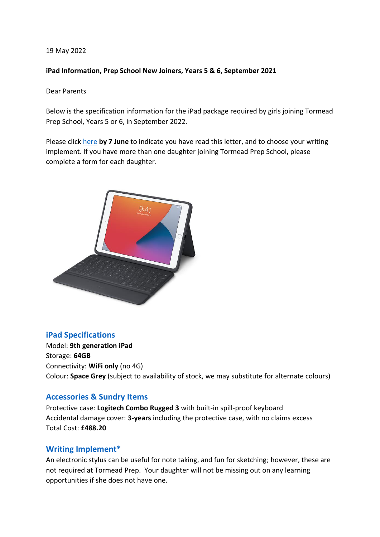#### 19 May 2022

#### **iPad Information, Prep School New Joiners, Years 5 & 6, September 2021**

Dear Parents

Below is the specification information for the iPad package required by girls joining Tormead Prep School, Years 5 or 6, in September 2022.

Please click [here](https://forms.gle/sjyyittX18dcxvhR8) **by 7 June** to indicate you have read this letter, and to choose your writing implement. If you have more than one daughter joining Tormead Prep School, please complete a form for each daughter.



## **iPad Specifications**

Model: **9th generation iPad** Storage: **64GB** Connectivity: **WiFi only** (no 4G) Colour: **Space Grey** (subject to availability of stock, we may substitute for alternate colours)

# **Accessories & Sundry Items**

Protective case: **Logitech Combo Rugged 3** with built-in spill-proof keyboard Accidental damage cover: **3-years** including the protective case, with no claims excess Total Cost: **£488.20**

## **Writing Implement\***

An electronic stylus can be useful for note taking, and fun for sketching; however, these are not required at Tormead Prep. Your daughter will not be missing out on any learning opportunities if she does not have one.